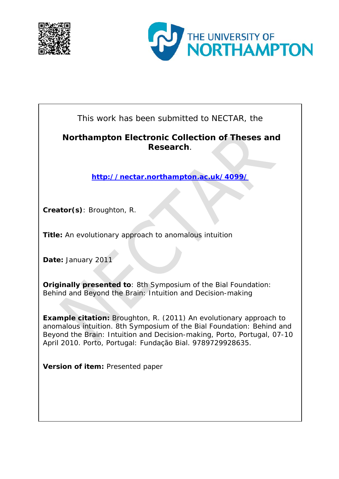



This work has been submitted to NECTAR, the

## **Northampton Electronic Collection of Theses and Research**.

**<http://nectar.northampton.ac.uk/4099/>**

**Creator(s)**: Broughton, R.

**Title:** An evolutionary approach to anomalous intuition

**Date:** January 2011

**Originally presented to**: 8th Symposium of the Bial Foundation: Behind and Beyond the Brain: Intuition and Decision-making

**Example citation:** Broughton, R. (2011) An evolutionary approach to anomalous intuition. *8th Symposium of the Bial Foundation: Behind and Beyond the Brain: Intuition and Decision-making, Porto, Portugal, 07-10 April 2010*. Porto, Portugal: Fundação Bial. 9789729928635.

**Version of item:** Presented paper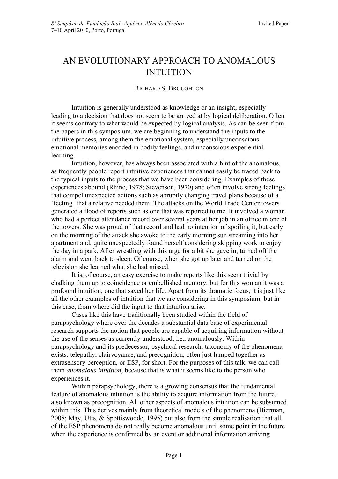# AN EVOLUTIONARY APPROACH TO ANOMALOUS INTUITION

### RICHARD S. BROUGHTON

Intuition is generally understood as knowledge or an insight, especially leading to a decision that does not seem to be arrived at by logical deliberation. Often it seems contrary to what would be expected by logical analysis. As can be seen from the papers in this symposium, we are beginning to understand the inputs to the intuitive process, among them the emotional system, especially unconscious emotional memories encoded in bodily feelings, and unconscious experiential learning.

Intuition, however, has always been associated with a hint of the anomalous, as frequently people report intuitive experiences that cannot easily be traced back to the typical inputs to the process that we have been considering. Examples of these experiences abound (Rhine, 1978; Stevenson, 1970) and often involve strong feelings that compel unexpected actions such as abruptly changing travel plans because of a 'feeling' that a relative needed them. The attacks on the World Trade Center towers generated a flood of reports such as one that was reported to me. It involved a woman who had a perfect attendance record over several years at her job in an office in one of the towers. She was proud of that record and had no intention of spoiling it, but early on the morning of the attack she awoke to the early morning sun streaming into her apartment and, quite unexpectedly found herself considering skipping work to enjoy the day in a park. After wrestling with this urge for a bit she gave in, turned off the alarm and went back to sleep. Of course, when she got up later and turned on the television she learned what she had missed.

It is, of course, an easy exercise to make reports like this seem trivial by chalking them up to coincidence or embellished memory, but for this woman it was a profound intuition, one that saved her life. Apart from its dramatic focus, it is just like all the other examples of intuition that we are considering in this symposium, but in this case, from where did the input to that intuition arise.

Cases like this have traditionally been studied within the field of parapsychology where over the decades a substantial data base of experimental research supports the notion that people are capable of acquiring information without the use of the senses as currently understood, i.e., anomalously. Within parapsychology and its predecessor, psychical research, taxonomy of the phenomena exists: telepathy, clairvoyance, and precognition, often just lumped together as extrasensory perception, or ESP, for short. For the purposes of this talk, we can call them *anomalous intuition*, because that is what it seems like to the person who experiences it.

Within parapsychology, there is a growing consensus that the fundamental feature of anomalous intuition is the ability to acquire information from the future, also known as precognition. All other aspects of anomalous intuition can be subsumed within this. This derives mainly from theoretical models of the phenomena (Bierman, 2008; May, Utts, & Spottiswoode, 1995) but also from the simple realisation that all of the ESP phenomena do not really become anomalous until some point in the future when the experience is confirmed by an event or additional information arriving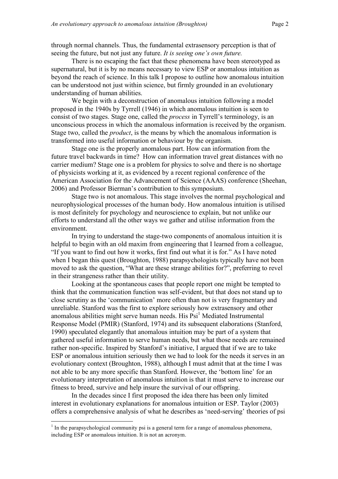through normal channels. Thus, the fundamental extrasensory perception is that of seeing the future, but not just any future. *It is seeing one's own future.*

There is no escaping the fact that these phenomena have been stereotyped as supernatural, but it is by no means necessary to view ESP or anomalous intuition as beyond the reach of science. In this talk I propose to outline how anomalous intuition can be understood not just within science, but firmly grounded in an evolutionary understanding of human abilities.

We begin with a deconstruction of anomalous intuition following a model proposed in the 1940s by Tyrrell (1946) in which anomalous intuition is seen to consist of two stages. Stage one, called the *process* in Tyrrell's terminology, is an unconscious process in which the anomalous information is received by the organism. Stage two, called the *product*, is the means by which the anomalous information is transformed into useful information or behaviour by the organism.

Stage one is the properly anomalous part. How can information from the future travel backwards in time? How can information travel great distances with no carrier medium? Stage one is a problem for physics to solve and there is no shortage of physicists working at it, as evidenced by a recent regional conference of the American Association for the Advancement of Science (AAAS) conference (Sheehan, 2006) and Professor Bierman's contribution to this symposium.

Stage two is not anomalous. This stage involves the normal psychological and neurophysiological processes of the human body. How anomalous intuition is utilised is most definitely for psychology and neuroscience to explain, but not unlike our efforts to understand all the other ways we gather and utilise information from the environment.

In trying to understand the stage-two components of anomalous intuition it is helpful to begin with an old maxim from engineering that I learned from a colleague, "If you want to find out how it works, first find out what it is for." As I have noted when I began this quest (Broughton, 1988) parapsychologists typically have not been moved to ask the question, "What are these strange abilities for?", preferring to revel in their strangeness rather than their utility.

Looking at the spontaneous cases that people report one might be tempted to think that the communication function was self-evident, but that does not stand up to close scrutiny as the 'communication' more often than not is very fragmentary and unreliable. Stanford was the first to explore seriously how extrasensory and other anomalous abilities might serve human needs. His  $\text{Psi}^1$  Mediated Instrumental Response Model (PMIR) (Stanford, 1974) and its subsequent elaborations (Stanford, 1990) speculated elegantly that anomalous intuition may be part of a system that gathered useful information to serve human needs, but what those needs are remained rather non-specific. Inspired by Stanford's initiative, I argued that if we are to take ESP or anomalous intuition seriously then we had to look for the needs it serves in an evolutionary context (Broughton, 1988), although I must admit that at the time I was not able to be any more specific than Stanford. However, the 'bottom line' for an evolutionary interpretation of anomalous intuition is that it must serve to increase our fitness to breed, survive and help insure the survival of our offspring.

In the decades since I first proposed the idea there has been only limited interest in evolutionary explanations for anomalous intuition or ESP. Taylor (2003) offers a comprehensive analysis of what he describes as 'need-serving' theories of psi

 $\frac{1}{1}$  $<sup>1</sup>$  In the parapsychological community psi is a general term for a range of anomalous phenomena,</sup> including ESP or anomalous intuition. It is not an acronym.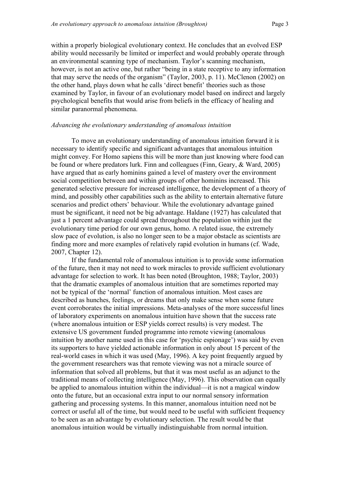within a properly biological evolutionary context. He concludes that an evolved ESP ability would necessarily be limited or imperfect and would probably operate through an environmental scanning type of mechanism. Taylor's scanning mechanism, however, is not an active one, but rather "being in a state receptive to any information that may serve the needs of the organism" (Taylor, 2003, p. 11). McClenon (2002) on the other hand, plays down what he calls 'direct benefit' theories such as those examined by Taylor, in favour of an evolutionary model based on indirect and largely psychological benefits that would arise from beliefs in the efficacy of healing and similar paranormal phenomena.

#### *Advancing the evolutionary understanding of anomalous intuition*

To move an evolutionary understanding of anomalous intuition forward it is necessary to identify specific and significant advantages that anomalous intuition might convey. For Homo sapiens this will be more than just knowing where food can be found or where predators lurk. Finn and colleagues (Finn, Geary, & Ward, 2005) have argued that as early hominins gained a level of mastery over the environment social competition between and within groups of other hominins increased. This generated selective pressure for increased intelligence, the development of a theory of mind, and possibly other capabilities such as the ability to entertain alternative future scenarios and predict others' behaviour. While the evolutionary advantage gained must be significant, it need not be big advantage. Haldane (1927) has calculated that just a 1 percent advantage could spread throughout the population within just the evolutionary time period for our own genus, homo. A related issue, the extremely slow pace of evolution, is also no longer seen to be a major obstacle as scientists are finding more and more examples of relatively rapid evolution in humans (cf. Wade, 2007, Chapter 12).

If the fundamental role of anomalous intuition is to provide some information of the future, then it may not need to work miracles to provide sufficient evolutionary advantage for selection to work. It has been noted (Broughton, 1988; Taylor, 2003) that the dramatic examples of anomalous intuition that are sometimes reported may not be typical of the 'normal' function of anomalous intuition. Most cases are described as hunches, feelings, or dreams that only make sense when some future event corroborates the initial impressions. Meta-analyses of the more successful lines of laboratory experiments on anomalous intuition have shown that the success rate (where anomalous intuition or ESP yields correct results) is very modest. The extensive US government funded programme into remote viewing (anomalous intuition by another name used in this case for 'psychic espionage') was said by even its supporters to have yielded actionable information in only about 15 percent of the real-world cases in which it was used (May, 1996). A key point frequently argued by the government researchers was that remote viewing was not a miracle source of information that solved all problems, but that it was most useful as an adjunct to the traditional means of collecting intelligence (May, 1996). This observation can equally be applied to anomalous intuition within the individual—it is not a magical window onto the future, but an occasional extra input to our normal sensory information gathering and processing systems. In this manner, anomalous intuition need not be correct or useful all of the time, but would need to be useful with sufficient frequency to be seen as an advantage by evolutionary selection. The result would be that anomalous intuition would be virtually indistinguishable from normal intuition.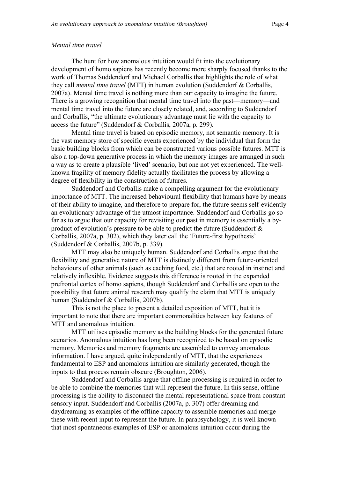#### *Mental time travel*

The hunt for how anomalous intuition would fit into the evolutionary development of homo sapiens has recently become more sharply focused thanks to the work of Thomas Suddendorf and Michael Corballis that highlights the role of what they call *mental time travel* (MTT) in human evolution (Suddendorf & Corballis, 2007a). Mental time travel is nothing more than our capacity to imagine the future. There is a growing recognition that mental time travel into the past—memory—and mental time travel into the future are closely related, and, according to Suddendorf and Corballis, "the ultimate evolutionary advantage must lie with the capacity to access the future" (Suddendorf & Corballis, 2007a, p. 299).

Mental time travel is based on episodic memory, not semantic memory. It is the vast memory store of specific events experienced by the individual that form the basic building blocks from which can be constructed various possible futures. MTT is also a top-down generative process in which the memory images are arranged in such a way as to create a plausible 'lived' scenario, but one not yet experienced. The wellknown fragility of memory fidelity actually facilitates the process by allowing a degree of flexibility in the construction of futures.

Suddendorf and Corballis make a compelling argument for the evolutionary importance of MTT. The increased behavioural flexibility that humans have by means of their ability to imagine, and therefore to prepare for, the future seems self-evidently an evolutionary advantage of the utmost importance. Suddendorf and Corballis go so far as to argue that our capacity for revisiting our past in memory is essentially a byproduct of evolution's pressure to be able to predict the future (Suddendorf & Corballis, 2007a, p. 302), which they later call the 'Future-first hypothesis' (Suddendorf & Corballis, 2007b, p. 339).

MTT may also be uniquely human. Suddendorf and Corballis argue that the flexibility and generative nature of MTT is distinctly different from future-oriented behaviours of other animals (such as caching food, etc.) that are rooted in instinct and relatively inflexible. Evidence suggests this difference is rooted in the expanded prefrontal cortex of homo sapiens, though Suddendorf and Corballis are open to the possibility that future animal research may qualify the claim that MTT is uniquely human (Suddendorf & Corballis, 2007b).

This is not the place to present a detailed exposition of MTT, but it is important to note that there are important commonalities between key features of MTT and anomalous intuition.

MTT utilises episodic memory as the building blocks for the generated future scenarios. Anomalous intuition has long been recognized to be based on episodic memory. Memories and memory fragments are assembled to convey anomalous information. I have argued, quite independently of MTT, that the experiences fundamental to ESP and anomalous intuition are similarly generated, though the inputs to that process remain obscure (Broughton, 2006).

Suddendorf and Corballis argue that offline processing is required in order to be able to combine the memories that will represent the future. In this sense, offline processing is the ability to disconnect the mental representational space from constant sensory input. Suddendorf and Corballis (2007a, p. 307) offer dreaming and daydreaming as examples of the offline capacity to assemble memories and merge these with recent input to represent the future. In parapsychology, it is well known that most spontaneous examples of ESP or anomalous intuition occur during the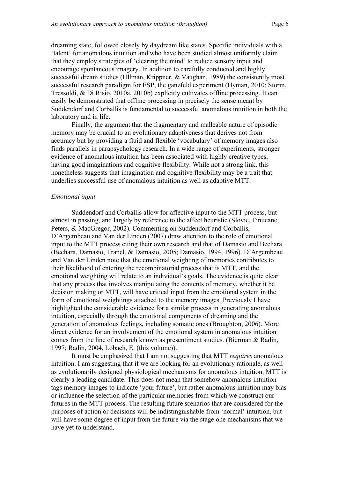dreaming state, followed closely by daydream like states. Specific individuals with a 'talent' for anomalous intuition and who have been studied almost uniformly claim that they employ strategies of 'clearing the mind' to reduce sensory input and encourage spontaneous imagery. In addition to carefully conducted and highly successful dream studies (Ullman, Krippner, & Vaughan, 1989) the consistently most successful research paradigm for ESP, the ganzfeld experiment (Hyman, 2010; Storm, Tressoldi, & Di Risio, 2010a, 2010b) explicitly cultivates offline processing. It can easily be demonstrated that offline processing in precisely the sense meant by Suddendorf and Corballis is fundamental to successful anomalous intuition in both the laboratory and in life.

Finally, the argument that the fragmentary and malleable nature of episodic memory may be crucial to an evolutionary adaptiveness that derives not from accuracy but by providing a fluid and flexible 'vocabulary' of memory images also finds parallels in parapsychology research. In a wide range of experiments, stronger evidence of anomalous intuition has been associated with highly creative types, having good imaginations and cognitive flexibility. While not a strong link, this nonetheless suggests that imagination and cognitive flexibility may be a trait that underlies successful use of anomalous intuition as well as adaptive MTT.

#### *Emotional input*

Suddendorf and Corballis allow for affective input to the MTT process, but almost in passing, and largely by reference to the affect heuristic (Slovic, Finucane, Peters, & MacGregor, 2002). Commenting on Suddendorf and Corballis, D'Argembeau and Van der Linden (2007) draw attention to the role of emotional input to the MTT process citing their own research and that of Damasio and Bechara (Bechara, Damasio, Tranel, & Damasio, 2005; Damasio, 1994, 1996). D'Argembeau and Van der Linden note that the emotional weighting of memories contributes to their likelihood of entering the recombinatorial process that is MTT, and the emotional weighting will relate to an individual's goals. The evidence is quite clear that any process that involves manipulating the contents of memory, whether it be decision making or MTT, will have critical input from the emotional system in the form of emotional weightings attached to the memory images. Previously I have highlighted the considerable evidence for a similar process in generating anomalous intuition, especially through the emotional components of dreaming and the generation of anomalous feelings, including somatic ones (Broughton, 2006). More direct evidence for an involvement of the emotional system in anomalous intuition comes from the line of research known as presentiment studies. (Bierman & Radin, 1997; Radin, 2004, Lobach, E. (this volume)).

It must be emphasized that I am not suggesting that MTT *requires* anomalous intuition. I am suggesting that if we are looking for an evolutionary rationale, as well as evolutionarily designed physiological mechanisms for anomalous intuition, MTT is clearly a leading candidate. This does not mean that somehow anomalous intuition tags memory images to indicate 'your future', but rather anomalous intuition may bias or influence the selection of the particular memories from which we construct our futures in the MTT process. The resulting future scenarios that are considered for the purposes of action or decisions will be indistinguishable from 'normal' intuition, but will have some degree of input from the future via the stage one mechanisms that we have yet to understand.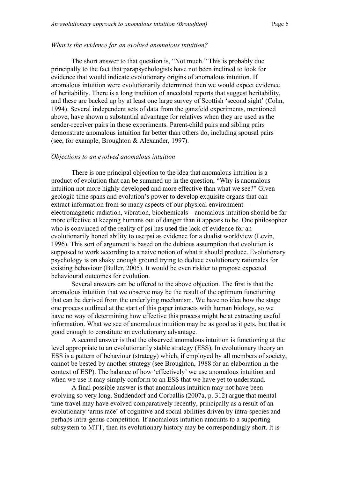#### *What is the evidence for an evolved anomalous intuition?*

The short answer to that question is, "Not much." This is probably due principally to the fact that parapsychologists have not been inclined to look for evidence that would indicate evolutionary origins of anomalous intuition. If anomalous intuition were evolutionarily determined then we would expect evidence of heritability. There is a long tradition of anecdotal reports that suggest heritability, and these are backed up by at least one large survey of Scottish 'second sight' (Cohn, 1994). Several independent sets of data from the ganzfeld experiments, mentioned above, have shown a substantial advantage for relatives when they are used as the sender-receiver pairs in those experiments. Parent-child pairs and sibling pairs demonstrate anomalous intuition far better than others do, including spousal pairs (see, for example, Broughton & Alexander, 1997).

#### *Objections to an evolved anomalous intuition*

There is one principal objection to the idea that anomalous intuition is a product of evolution that can be summed up in the question, "Why is anomalous intuition not more highly developed and more effective than what we see?" Given geologic time spans and evolution's power to develop exquisite organs that can extract information from so many aspects of our physical environment electromagnetic radiation, vibration, biochemicals—anomalous intuition should be far more effective at keeping humans out of danger than it appears to be. One philosopher who is convinced of the reality of psi has used the lack of evidence for an evolutionarily honed ability to use psi as evidence for a dualist worldview (Levin, 1996). This sort of argument is based on the dubious assumption that evolution is supposed to work according to a naive notion of what it should produce. Evolutionary psychology is on shaky enough ground trying to deduce evolutionary rationales for existing behaviour (Buller, 2005). It would be even riskier to propose expected behavioural outcomes for evolution.

Several answers can be offered to the above objection. The first is that the anomalous intuition that we observe may be the result of the optimum functioning that can be derived from the underlying mechanism. We have no idea how the stage one process outlined at the start of this paper interacts with human biology, so we have no way of determining how effective this process might be at extracting useful information. What we see of anomalous intuition may be as good as it gets, but that is good enough to constitute an evolutionary advantage.

A second answer is that the observed anomalous intuition is functioning at the level appropriate to an evolutionarily stable strategy (ESS). In evolutionary theory an ESS is a pattern of behaviour (strategy) which, if employed by all members of society, cannot be bested by another strategy (see Broughton, 1988 for an elaboration in the context of ESP). The balance of how 'effectively' we use anomalous intuition and when we use it may simply conform to an ESS that we have yet to understand.

A final possible answer is that anomalous intuition may not have been evolving so very long. Suddendorf and Corballis (2007a, p. 312) argue that mental time travel may have evolved comparatively recently, principally as a result of an evolutionary 'arms race' of cognitive and social abilities driven by intra-species and perhaps intra-genus competition. If anomalous intuition amounts to a supporting subsystem to MTT, then its evolutionary history may be correspondingly short. It is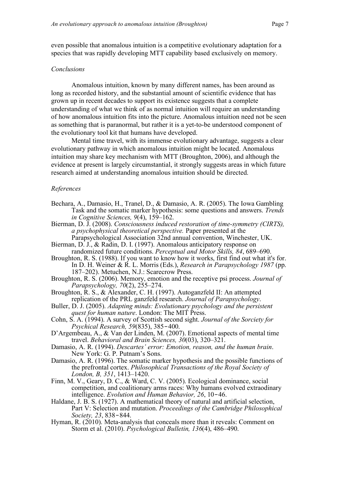even possible that anomalous intuition is a competitive evolutionary adaptation for a species that was rapidly developing MTT capability based exclusively on memory.

#### *Conclusions*

Anomalous intuition, known by many different names, has been around as long as recorded history, and the substantial amount of scientific evidence that has grown up in recent decades to support its existence suggests that a complete understanding of what we think of as normal intuition will require an understanding of how anomalous intuition fits into the picture. Anomalous intuition need not be seen as something that is paranormal, but rather it is a yet-to-be understood component of the evolutionary tool kit that humans have developed.

Mental time travel, with its immense evolutionary advantage, suggests a clear evolutionary pathway in which anomalous intuition might be located. Anomalous intuition may share key mechanism with MTT (Broughton, 2006), and although the evidence at present is largely circumstantial, it strongly suggests areas in which future research aimed at understanding anomalous intuition should be directed.

#### *References*

- Bechara, A., Damasio, H., Tranel, D., & Damasio, A. R. (2005). The Iowa Gambling Task and the somatic marker hypothesis: some questions and answers. *Trends in Cognitive Sciences, 9*(4), 159–162.
- Bierman, D. J. (2008). *Consciousness induced restoration of time-symmetry (CIRTS), a psychophysical theoretical perspective.* Paper presented at the
- Parapsychological Association 32nd annual convention, Winchester, UK. Bierman, D. J., & Radin, D. I. (1997). Anomalous anticipatory response on
- randomized future conditions. *Perceptual and Motor Skills, 84*, 689–690. Broughton, R. S. (1988). If you want to know how it works, first find out what it's for.
- In D. H. Weiner & R. L. Morris (Eds.), *Research in Parapsychology 1987* (pp. 187–202). Metuchen, N.J.: Scarecrow Press.
- Broughton, R. S. (2006). Memory, emotion and the receptive psi process. *Journal of Parapsychology, 70*(2), 255–274.
- Broughton, R. S., & Alexander, C. H. (1997). Autoganzfeld II: An attempted replication of the PRL ganzfeld research. *Journal of Parapsychology*.
- Buller, D. J. (2005). *Adapting minds: Evolutionary psychology and the persistent quest for human nature*. London: The MIT Press.
- Cohn, S. A. (1994). A survey of Scottish second sight. *Journal of the Sorciety for Psychical Research, 59*(835), 385-400.
- D'Argembeau, A., & Van der Linden, M. (2007). Emotional aspects of mental time travel. *Behavioral and Brain Sciences, 30*(03), 320–321.
- Damasio, A. R. (1994). *Descartes' error: Emotion, reason, and the human brain*. New York: G. P. Putnam's Sons.
- Damasio, A. R. (1996). The somatic marker hypothesis and the possible functions of the prefrontal cortex. *Philosophical Transactions of the Royal Society of London, B, 351*, 1413–1420.
- Finn, M. V., Geary, D. C., & Ward, C. V. (2005). Ecological dominance, social competition, and coalitionary arms races: Why humans evolved extraodinary intelligence. *Evolution and Human Behavior*, 26, 10-46.
- Haldane, J. B. S. (1927). A mathematical theory of natural and artificial selection, Part V: Selection and mutation. *Proceedings of the Cambridge Philosophical Society, 23*, 838‒844.
- Hyman, R. (2010). Meta-analysis that conceals more than it reveals: Comment on Storm et al. (2010). *Psychological Bulletin, 136*(4), 486–490.